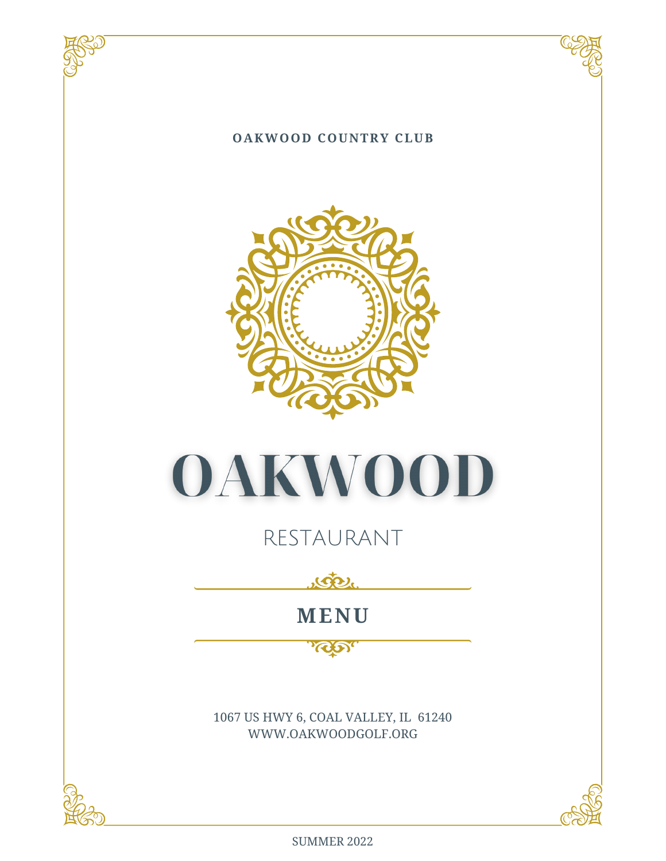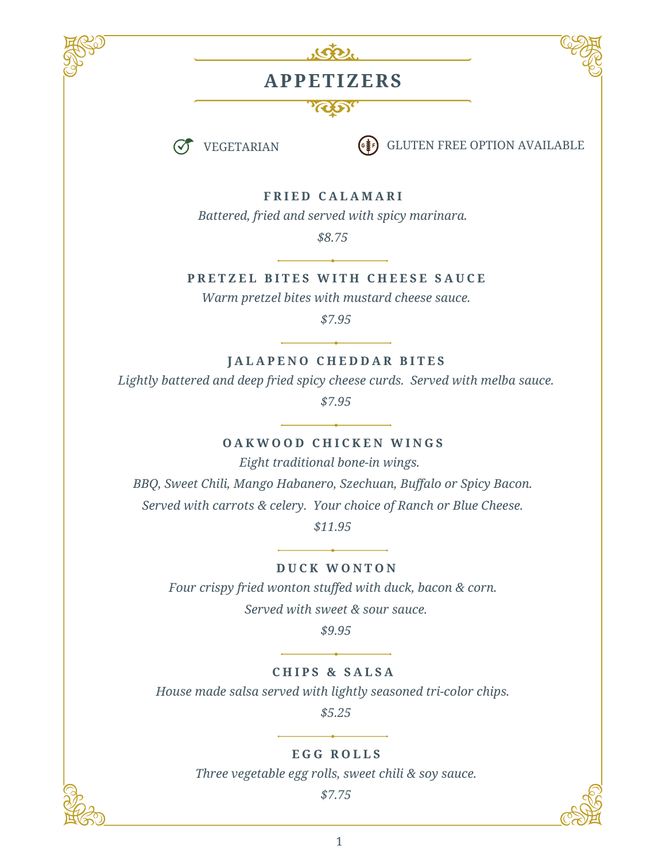



### **APPETIZERS**





**VEGETARIAN**  $\begin{pmatrix} \bullet & \bullet \\ \bullet & \bullet \end{pmatrix}$  GLUTEN FREE OPTION AVAILABLE

**F R I E D C A L A M A R I**

*Battered, fried and served with spicy marinara.*

*\$8.75*

PRETZEL BITES WITH CHEESE SAUCE

*Warm pretzel bites with mustard cheese sauce.*

*\$7.95*

**J A L A P E N O C H E D D A R B I T E S**

*Lightly battered and deep fried spicy cheese curds. Served with melba sauce.*

*\$7.95*

#### **O A K W O O D C H I C K E N W I N G S**

*Eight traditional bone-in wings.* 

*BBQ, Sweet Chili, Mango Habanero, Szechuan, Buffalo or Spicy Bacon. Served with carrots & celery. Your choice of Ranch or Blue Cheese.*

*\$11.95*

**D U C K W O N T O N**

*Four crispy fried wonton stuffed with duck, bacon & corn. Served with sweet & sour sauce.*

*\$9.95*

**C H I P S & S A L S A**

*House made salsa served with lightly seasoned tri-color chips.*

 *\$5.25*

**E G G R O L L S**

*Three vegetable egg rolls, sweet chili & soy sauce.*

*\$7.75*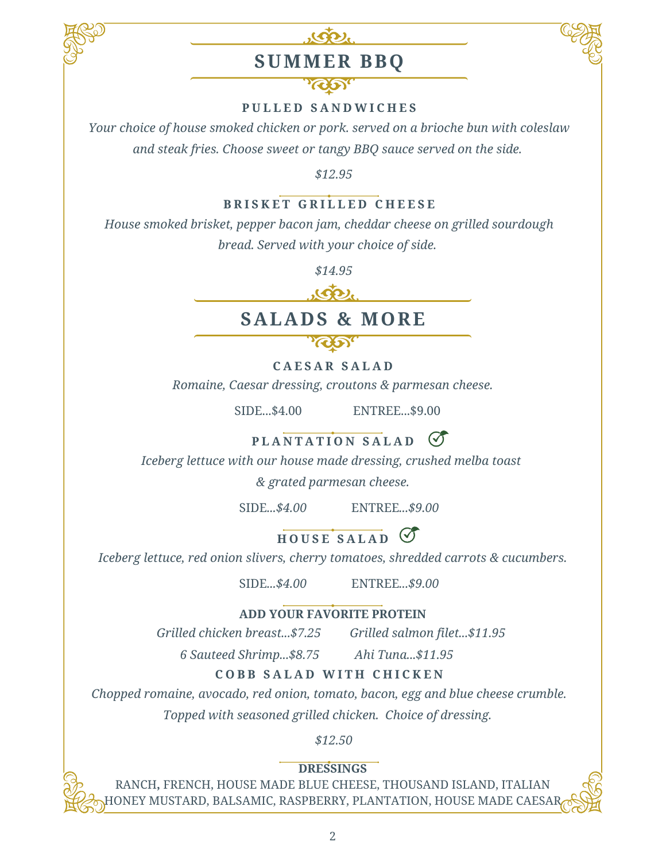

## **SUMMER BBQ**



*Your choice of house smoked chicken or pork. served on a brioche bun with coleslaw and steak fries. Choose sweet or tangy BBQ sauce served on the side.*

*\$12.95*

#### **B R I S K E T G R I L L E D C H E E S E**

*House smoked brisket, pepper bacon jam, cheddar cheese on grilled sourdough*

*bread. Served with your choice of side.*

*\$14.95*



### **SALADS & MORE**

**C A E S A R S A L A D**

*Romaine, Caesar dressing, croutons & parmesan cheese.*

SIDE...\$4.00 ENTREE...\$9.00

### $PLANTATION SALAD$

*Iceberg lettuce with our house made dressing, crushed melba toast*

*& grated parmesan cheese.*

SIDE*...\$4.00* ENTREE*...\$9.00*

 $H$   $OUSE$   $SALAD$   $O$ 

*Iceberg lettuce, red onion slivers, cherry tomatoes, shredded carrots & cucumbers.*

SIDE*...\$4.00* ENTREE*...\$9.00*

#### **ADD YOUR FAVORITE PROTEIN**

*Grilled chicken breast...\$7.25 Grilled salmon filet...\$11.95*

*6 Sauteed Shrimp...\$8.75 Ahi Tuna...\$11.95* 

**C O B B S A L A D W I T H C H I C K E N**

*Chopped romaine, avocado, red onion, tomato, bacon, egg and blue cheese crumble.*

*Topped with seasoned grilled chicken. Choice of dressing.*

*\$12.50*

**DRESSINGS**

RANCH**,** FRENCH, HOUSE MADE BLUE CHEESE, THOUSAND ISLAND, ITALIAN ONEY MUSTARD, BALSAMIC, RASPBERRY, PLANTATION, HOUSE MADE CAESA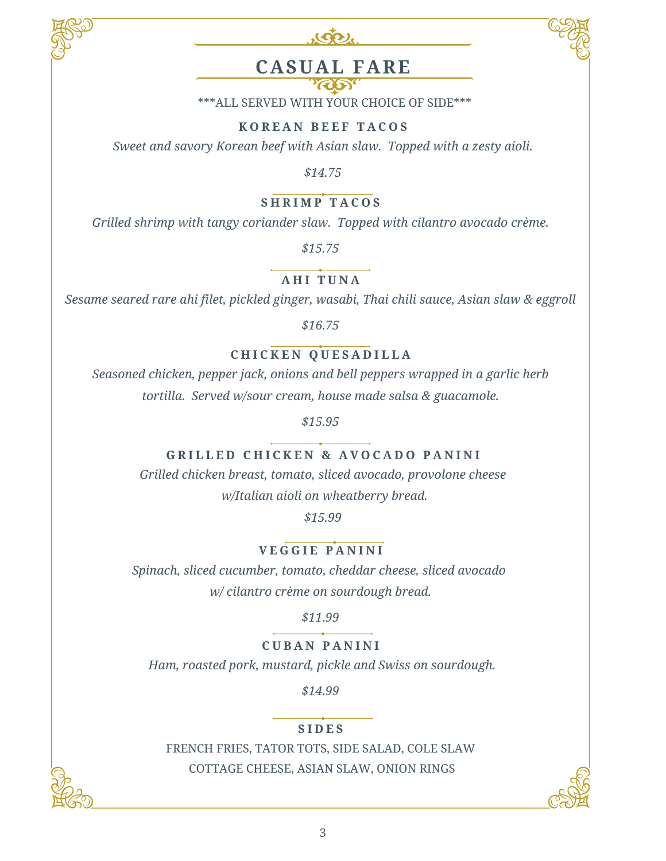



### **CASUAL FARE**

\*\*\*ALL SERVED WITH YOUR CHOICE OF SIDE\*\*\*

#### **K O R E A N B E E F T A C O S**

*Sweet and savory Korean beef with Asian slaw. Topped with a zesty aioli.*

*\$14.75*

#### **S H R I M P T A C O S**

*Grilled shrimp with tangy coriander slaw. Topped with cilantro avocado crème.*

*\$15.75*

**A H I T U N A**

*Sesame seared rare ahi filet, pickled ginger, wasabi, Thai chili sauce, Asian slaw & eggroll*

*\$16.75*

#### **C H I C K E N Q U E S A D I L L A**

*Seasoned chicken, pepper jack, onions and bell peppers wrapped in a garlic herb tortilla. Served w/sour cream, house made salsa & guacamole.*

*\$15.95*

#### **GRILLED CHICKEN & AVOCADO PANINI**

*Grilled chicken breast, tomato, sliced avocado, provolone cheese w/Italian aioli on wheatberry bread.*

*\$15.99*

**V E G G I E P A N I N I**

*Spinach, sliced cucumber, tomato, cheddar cheese, sliced avocado w/ cilantro crème on sourdough bread.*

*\$11.99*

#### **C U B A N P A N I N I**

*Ham, roasted pork, mustard, pickle and Swiss on sourdough.*

*\$14.99*

#### **S I D E S**

FRENCH FRIES, TATOR TOTS, SIDE SALAD, COLE SLAW COTTAGE CHEESE, ASIAN SLAW, ONION RINGS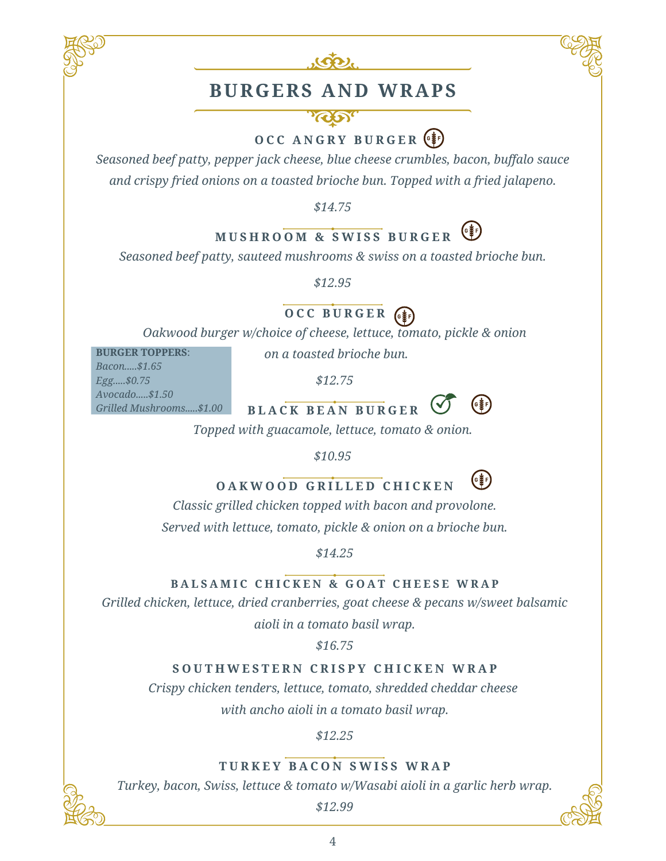



### **BURGERS AND WRAPS**

**O C C A N G R Y B U R G E R**

*Seasoned beef patty, pepper jack cheese, blue cheese crumbles, bacon, buffalo sauce and crispy fried onions on a toasted brioche bun. Topped with a fried jalapeno.*

*\$14.75*

### **M U S H R O O M & S W I S S B U R G E R**

*Seasoned beef patty, sauteed mushrooms & swiss on a toasted brioche bun.*

*\$12.95*

### **O C C B U R G E R**

*Oakwood burger w/choice of cheese, lettuce, tomato, pickle & onion*

**BURGER TOPPERS**:

*on a toasted brioche bun.*

*Bacon.....\$1.65 Egg.....\$0.75 Avocado.....\$1.50 Grilled Mushrooms.....\$1.00*

*\$12.75*



*Topped with guacamole, lettuce, tomato & onion.*

*\$10.95*

### **O A K W O O D G R I L L E D C H I C K E N**

*Classic grilled chicken topped with bacon and provolone.*

*Served with lettuce, tomato, pickle & onion on a brioche bun.*

*\$14.25*

#### **BALSAMIC CHICKEN & GOAT CHEESE WRAP**

*Grilled chicken, lettuce, dried cranberries, goat cheese & pecans w/sweet balsamic*

*aioli in a tomato basil wrap.*

*\$16.75*

#### SOUTHWESTERN CRISPY CHICKEN WRAP

*Crispy chicken tenders, lettuce, tomato, shredded cheddar cheese with ancho aioli in a tomato basil wrap.*

*\$12.25*

**T U R K E Y B A C O N S W I S S W R A P** *Turkey, bacon, Swiss, lettuce & tomato w/Wasabi aioli in a garlic herb wrap.*

*\$12.99*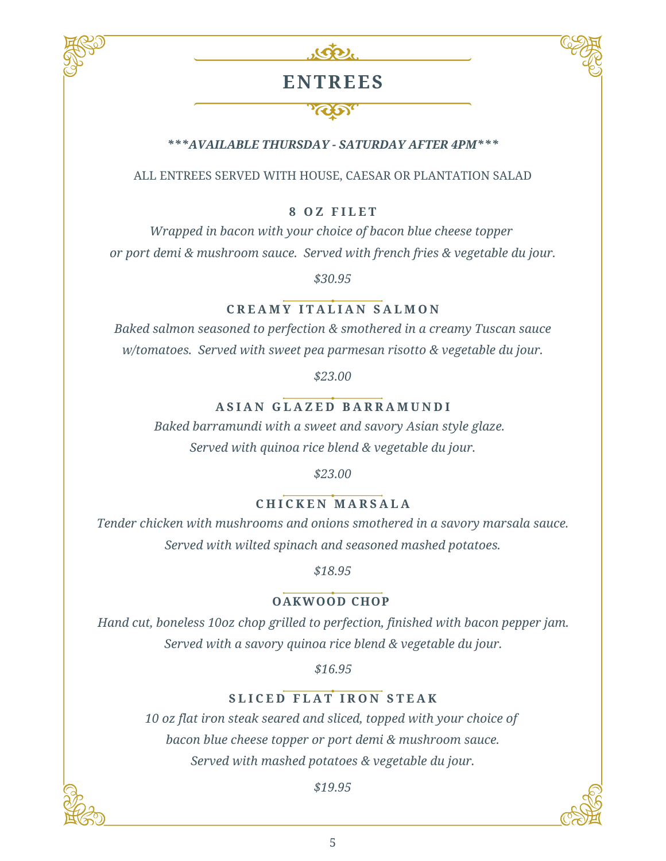



### **ENTREES**

#### **RAS**

#### *\*\*\*AVAILABLE THURSDAY - SATURDAY AFTER 4PM\*\*\**

ALL ENTREES SERVED WITH HOUSE, CAESAR OR PLANTATION SALAD

#### **8 O Z F I L E T**

*Wrapped in bacon with your choice of bacon blue cheese topper or port demi & mushroom sauce. Served with french fries & vegetable du jour.*

*\$30.95*

#### **C R E A M Y I T A L I A N S A L M O N**

*Baked salmon seasoned to perfection & smothered in a creamy Tuscan sauce w/tomatoes. Served with sweet pea parmesan risotto & vegetable du jour.*

*\$23.00*

#### **A S I A N G L A Z E D B A R R A M U N D I**

*Baked barramundi with a sweet and savory Asian style glaze. Served with quinoa rice blend & vegetable du jour.*

*\$23.00*

#### **C H I C K E N M A R S A L A**

*Tender chicken with mushrooms and onions smothered in a savory marsala sauce. Served with wilted spinach and seasoned mashed potatoes.*

*\$18.95*

#### **OAKWOOD CHOP**

*Hand cut, boneless 10oz chop grilled to perfection, finished with bacon pepper jam. Served with a savory quinoa rice blend & vegetable du jour.*

*\$16.95*

#### **S L I C E D F L A T I R O N S T E A K**

*10 oz flat iron steak seared and sliced, topped with your choice of bacon blue cheese topper or port demi & mushroom sauce. Served with mashed potatoes & vegetable du jour.*

*\$19.95*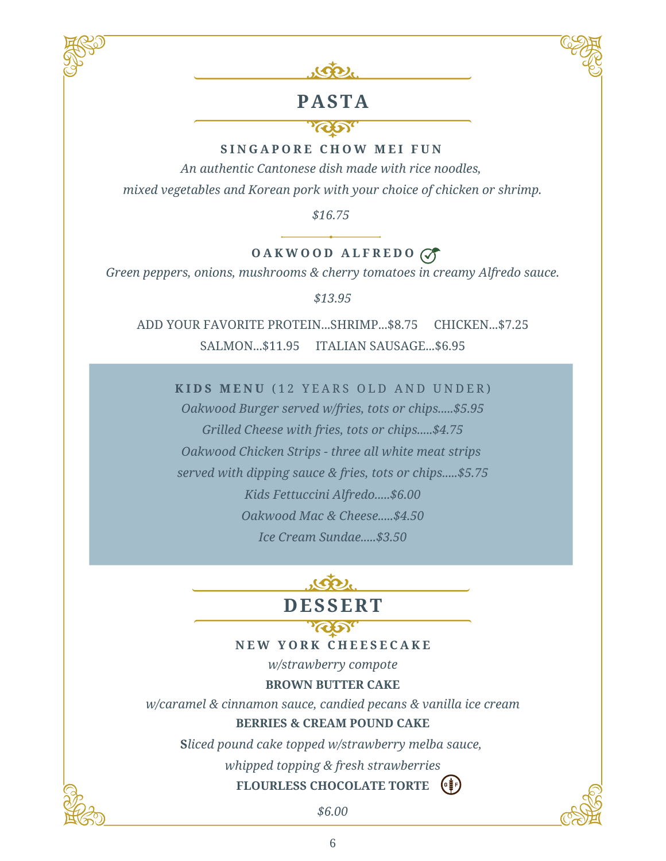



### **PASTA**

#### **ROD**

#### **S I N G A P O R E C H O W M E I F U N**

*An authentic Cantonese dish made with rice noodles, mixed vegetables and Korean pork with your choice of chicken or shrimp.*

*\$16.75*

### **O A K W O O D A L F R E D O**

*Green peppers, onions, mushrooms & cherry tomatoes in creamy Alfredo sauce.*

*\$13.95*

ADD YOUR FAVORITE PROTEIN...SHRIMP...\$8.75 CHICKEN...\$7.25 SALMON...\$11.95 ITALIAN SAUSAGE...\$6.95

**K I D S M E N U** ( 1 2 Y E A R S O L D A N D U N D E R )

*Oakwood Burger served w/fries, tots or chips.....\$5.95 Grilled Cheese with fries, tots or chips.....\$4.75 Oakwood Chicken Strips - three all white meat strips served with dipping sauce & fries, tots or chips.....\$5.75 Kids Fettuccini Alfredo.....\$6.00 Oakwood Mac & Cheese.....\$4.50 Ice Cream Sundae.....\$3.50*



**N E W Y O R K C H E E S E C A K E**

*w/strawberry compote*

**BROWN BUTTER CAKE**

*w/caramel & cinnamon sauce, candied pecans & vanilla ice cream* **BERRIES & CREAM POUND CAKE**

**S***liced pound cake topped w/strawberry melba sauce,*

*whipped topping & fresh strawberries*

### **FLOURLESS CHOCOLATE TORTE**

*\$6.00*